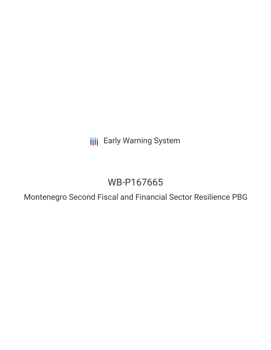**III** Early Warning System

# WB-P167665

Montenegro Second Fiscal and Financial Sector Resilience PBG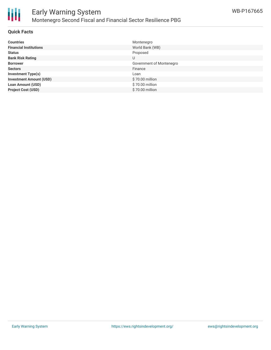

## **Quick Facts**

| <b>Countries</b>               | Montenegro               |
|--------------------------------|--------------------------|
| <b>Financial Institutions</b>  | World Bank (WB)          |
| <b>Status</b>                  | Proposed                 |
| <b>Bank Risk Rating</b>        | U                        |
| <b>Borrower</b>                | Government of Montenegro |
| <b>Sectors</b>                 | Finance                  |
| <b>Investment Type(s)</b>      | Loan                     |
| <b>Investment Amount (USD)</b> | \$70.00 million          |
| <b>Loan Amount (USD)</b>       | \$70.00 million          |
| <b>Project Cost (USD)</b>      | \$70.00 million          |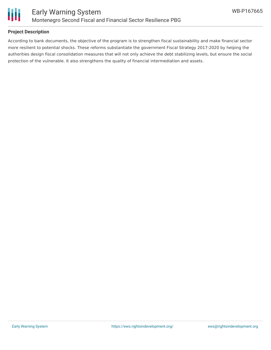

## **Project Description**

According to bank documents, the objective of the program is to strengthen fiscal sustainability and make financial sector more resilient to potential shocks. These reforms substantiate the government Fiscal Strategy 2017-2020 by helping the authorities design fiscal consolidation measures that will not only achieve the debt stabilizing levels, but ensure the social protection of the vulnerable. It also strengthens the quality of financial intermediation and assets.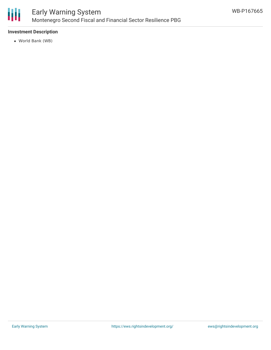

## **Investment Description**

World Bank (WB)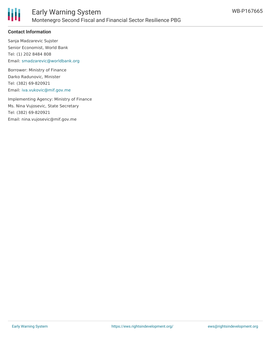

#### **Contact Information**

Sanja Madzarevic Sujster Senior Economist, World Bank Tel: (1) 202 8484 808 Email: [smadzarevic@worldbank.org](mailto:smadzarevic@worldbank.org)

Borrower: Ministry of Finance Darko Radunovic, Minister Tel: (382) 69-820921 Email: [iva.vukovic@mif.gov.me](mailto:iva.vukovic@mif.gov.me)

Implementing Agency: Ministry of Finance Ms. Nina Vujosevic, State Secretary Tel: (382) 69-820921 Email: nina.vujosevic@mif.gov.me